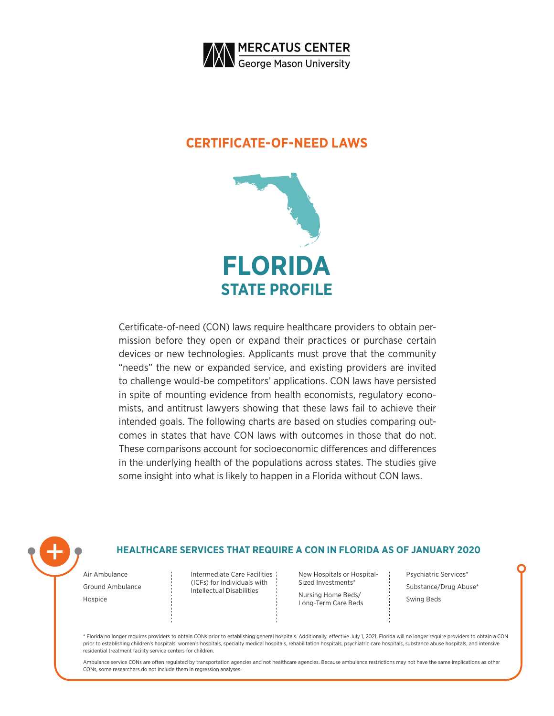

### **CERTIFICATE-OF-NEED LAWS**



Certificate-of-need (CON) laws require healthcare providers to obtain permission before they open or expand their practices or purchase certain devices or new technologies. Applicants must prove that the community "needs" the new or expanded service, and existing providers are invited to challenge would-be competitors' applications. CON laws have persisted in spite of mounting evidence from health economists, regulatory economists, and antitrust lawyers showing that these laws fail to achieve their intended goals. The following charts are based on studies comparing outcomes in states that have CON laws with outcomes in those that do not. These comparisons account for socioeconomic differences and differences in the underlying health of the populations across states. The studies give some insight into what is likely to happen in a Florida without CON laws.



### **HEALTHCARE SERVICES THAT REQUIRE A CON IN FLORIDA AS OF JANUARY 2020**

Air Ambulance Ground Ambulance Hospice

Intermediate Care Facilities (ICFs) for Individuals with Intellectual Disabilities

New Hospitals or Hospital-Sized Investments\*

Nursing Home Beds/ Long-Term Care Beds Psychiatric Services\* Substance/Drug Abuse\* Swing Beds

\* Florida no longer requires providers to obtain CONs prior to establishing general hospitals. Additionally, effective July 1, 2021, Florida will no longer require providers to obtain a CON prior to establishing children's hospitals, women's hospitals, specialty medical hospitals, rehabilitation hospitals, psychiatric care hospitals, substance abuse hospitals, and intensive residential treatment facility service centers for children.

Ambulance service CONs are often regulated by transportation agencies and not healthcare agencies. Because ambulance restrictions may not have the same implications as other CONs, some researchers do not include them in regression analyses.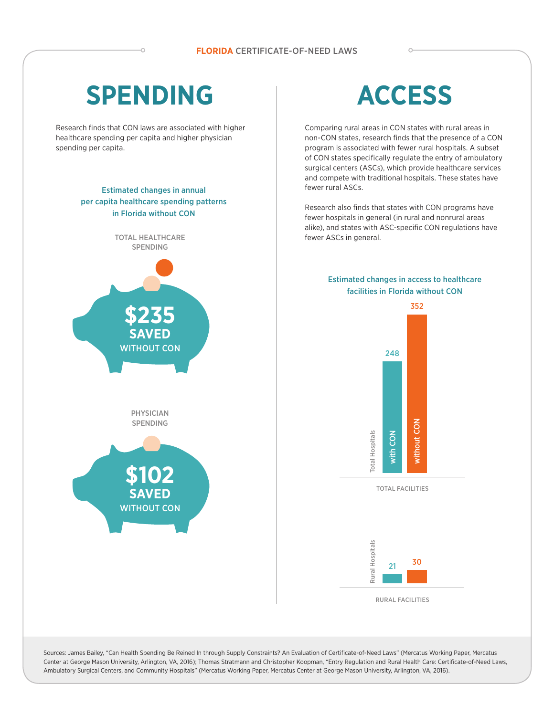# **SPENDING**

Research finds that CON laws are associated with higher healthcare spending per capita and higher physician spending per capita.

### Estimated changes in annual per capita healthcare spending patterns in Florida without CON



# **ACCESS**

Comparing rural areas in CON states with rural areas in non-CON states, research finds that the presence of a CON program is associated with fewer rural hospitals. A subset of CON states specifically regulate the entry of ambulatory surgical centers (ASCs), which provide healthcare services and compete with traditional hospitals. These states have fewer rural ASCs.

Research also finds that states with CON programs have fewer hospitals in general (in rural and nonrural areas alike), and states with ASC-specific CON regulations have fewer ASCs in general.

#### Estimated changes in access to healthcare facilities in Florida without CON



Sources: James Bailey, "Can Health Spending Be Reined In through Supply Constraints? An Evaluation of Certificate-of-Need Laws" (Mercatus Working Paper, Mercatus Center at George Mason University, Arlington, VA, 2016); Thomas Stratmann and Christopher Koopman, "Entry Regulation and Rural Health Care: Certificate-of-Need Laws, Ambulatory Surgical Centers, and Community Hospitals" (Mercatus Working Paper, Mercatus Center at George Mason University, Arlington, VA, 2016).